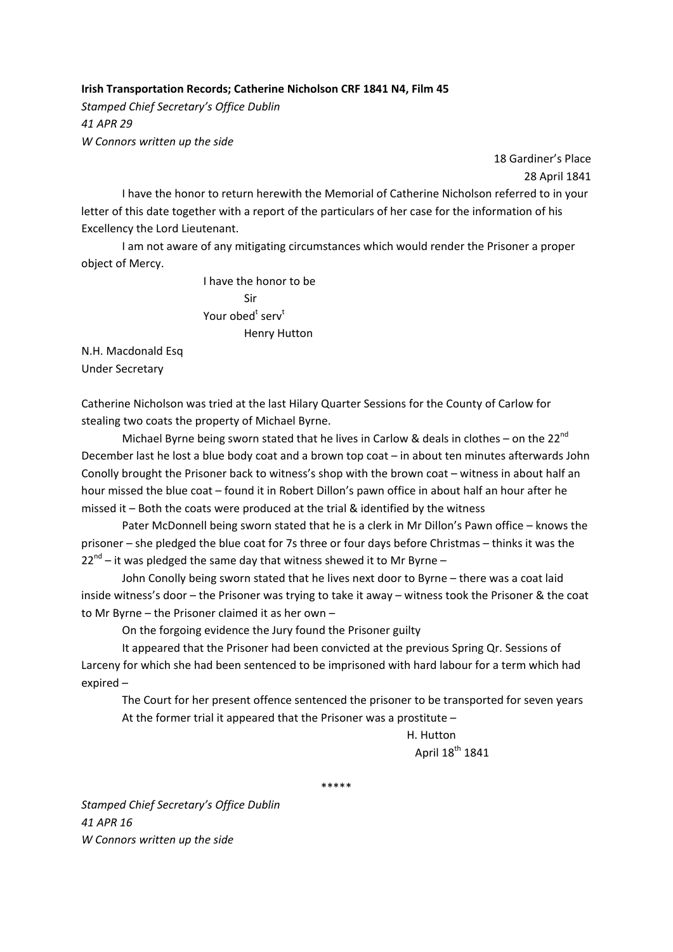## **Irish Transportation Records; Catherine Nicholson CRF 1841 N4, Film 45**

*Stamped Chief Secretary's Office Dublin 41 APR 29 W Connors written up the side*

> 18 Gardiner's Place 28 April 1841

I have the honor to return herewith the Memorial of Catherine Nicholson referred to in your letter of this date together with a report of the particulars of her case for the information of his Excellency the Lord Lieutenant.

I am not aware of any mitigating circumstances which would render the Prisoner a proper object of Mercy.

 I have the honor to be Sir  $\bm{\mathsf{Your~obel}}^\text{t~serv}$ Henry Hutton

N.H. Macdonald Esq Under Secretary

Catherine Nicholson was tried at the last Hilary Quarter Sessions for the County of Carlow for stealing two coats the property of Michael Byrne.

Michael Byrne being sworn stated that he lives in Carlow & deals in clothes – on the 22 $^{nd}$ December last he lost a blue body coat and a brown top coat – in about ten minutes afterwards John Conolly brought the Prisoner back to witness's shop with the brown coat – witness in about half an hour missed the blue coat – found it in Robert Dillon's pawn office in about half an hour after he missed it – Both the coats were produced at the trial & identified by the witness

Pater McDonnell being sworn stated that he is a clerk in Mr Dillon's Pawn office – knows the prisoner – she pledged the blue coat for 7s three or four days before Christmas – thinks it was the  $22^{nd}$  – it was pledged the same day that witness shewed it to Mr Byrne –

John Conolly being sworn stated that he lives next door to Byrne – there was a coat laid inside witness's door – the Prisoner was trying to take it away – witness took the Prisoner & the coat to Mr Byrne – the Prisoner claimed it as her own –

On the forgoing evidence the Jury found the Prisoner guilty

It appeared that the Prisoner had been convicted at the previous Spring Qr. Sessions of Larceny for which she had been sentenced to be imprisoned with hard labour for a term which had expired –

The Court for her present offence sentenced the prisoner to be transported for seven years At the former trial it appeared that the Prisoner was a prostitute –

> H. Hutton April 18<sup>th</sup> 1841

\*\*\*\*\*

*Stamped Chief Secretary's Office Dublin 41 APR 16 W Connors written up the side*